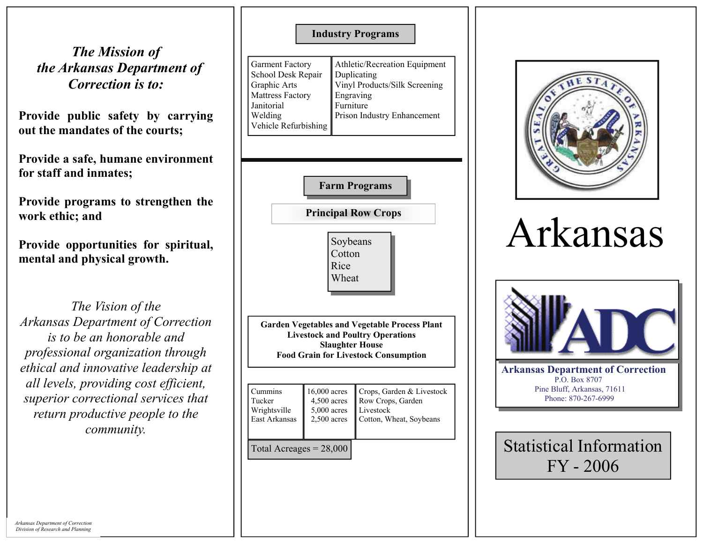*The Mission of the Arkansas Department of Correction is to:* 

**Provide public safety by carrying out the mandates of the courts;** 

**Provide a safe, humane environment for staff and inmates;** 

**Provide programs to strengthen the work ethic; and** 

**Provide opportunities for spiritual, mental and physical growth.** 

*The Vision of the Arkansas Department of Correction is to be an honorable and professional organization through ethical and innovative leadership at all levels, providing cost efficient, superior correctional services that return productive people to the community.* 

**Industry Programs** 

| <b>Garment Factory</b><br>School Desk Repair<br>Graphic Arts | Athletic/Recreation Equipment<br>Duplicating<br>Vinyl Products/Silk Screening |
|--------------------------------------------------------------|-------------------------------------------------------------------------------|
| <b>Mattress Factory</b>                                      | Engraving                                                                     |
| Janitorial                                                   | Furniture                                                                     |
| Welding                                                      | Prison Industry Enhancement                                                   |
| Vehicle Refurbishing                                         |                                                                               |





## Arkansas